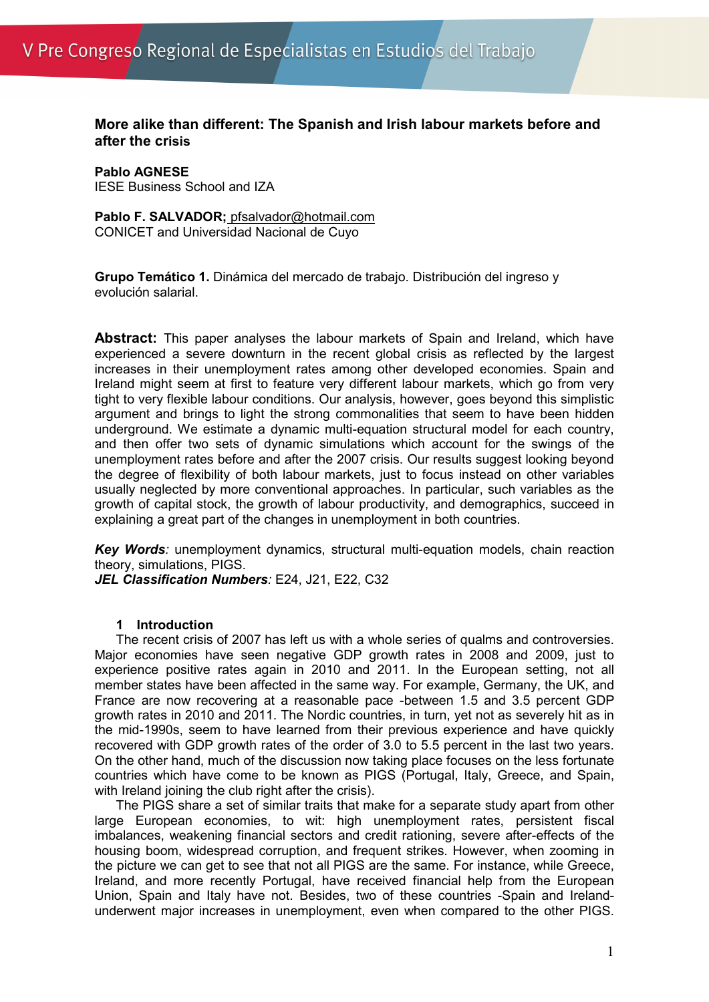**More alike than different: The Spanish and Irish labour markets before and after the crisis**

**Pablo AGNESE** IESE Business School and IZA

**Pablo F. SALVADOR;** pfsalvador@hotmail.com CONICET and Universidad Nacional de Cuyo

**Grupo Temático 1.** Dinámica del mercado de trabajo. Distribución del ingreso y evolución salarial.

**Abstract:** This paper analyses the labour markets of Spain and Ireland, which have experienced a severe downturn in the recent global crisis as reflected by the largest increases in their unemployment rates among other developed economies. Spain and Ireland might seem at first to feature very different labour markets, which go from very tight to very flexible labour conditions. Our analysis, however, goes beyond this simplistic argument and brings to light the strong commonalities that seem to have been hidden underground. We estimate a dynamic multi-equation structural model for each country, and then offer two sets of dynamic simulations which account for the swings of the unemployment rates before and after the 2007 crisis. Our results suggest looking beyond the degree of flexibility of both labour markets, just to focus instead on other variables usually neglected by more conventional approaches. In particular, such variables as the growth of capital stock, the growth of labour productivity, and demographics, succeed in explaining a great part of the changes in unemployment in both countries.

*Key Words:* unemployment dynamics, structural multi-equation models, chain reaction theory, simulations, PIGS.

*JEL Classification Numbers:* E24, J21, E22, C32

## **1 Introduction**

The recent crisis of 2007 has left us with a whole series of qualms and controversies. Major economies have seen negative GDP growth rates in 2008 and 2009, just to experience positive rates again in 2010 and 2011. In the European setting, not all member states have been affected in the same way. For example, Germany, the UK, and France are now recovering at a reasonable pace -between 1.5 and 3.5 percent GDP growth rates in 2010 and 2011. The Nordic countries, in turn, yet not as severely hit as in the mid-1990s, seem to have learned from their previous experience and have quickly recovered with GDP growth rates of the order of 3.0 to 5.5 percent in the last two years. On the other hand, much of the discussion now taking place focuses on the less fortunate countries which have come to be known as PIGS (Portugal, Italy, Greece, and Spain, with Ireland joining the club right after the crisis).

The PIGS share a set of similar traits that make for a separate study apart from other large European economies, to wit: high unemployment rates, persistent fiscal imbalances, weakening financial sectors and credit rationing, severe after-effects of the housing boom, widespread corruption, and frequent strikes. However, when zooming in the picture we can get to see that not all PIGS are the same. For instance, while Greece, Ireland, and more recently Portugal, have received financial help from the European Union, Spain and Italy have not. Besides, two of these countries -Spain and Irelandunderwent major increases in unemployment, even when compared to the other PIGS.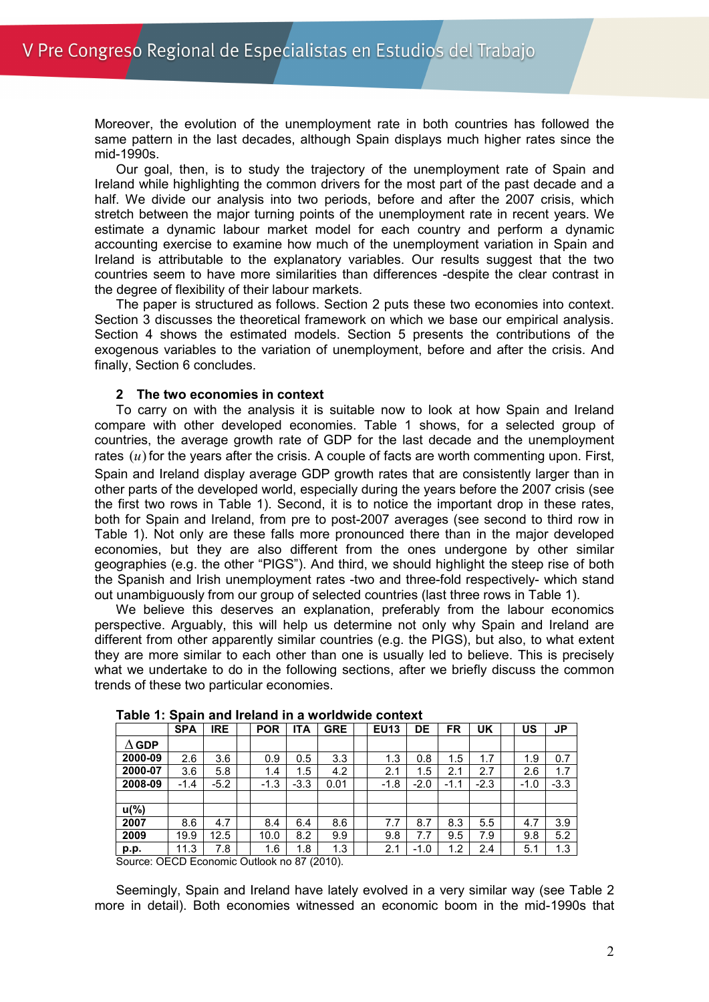Moreover, the evolution of the unemployment rate in both countries has followed the same pattern in the last decades, although Spain displays much higher rates since the mid-1990s.

Our goal, then, is to study the trajectory of the unemployment rate of Spain and Ireland while highlighting the common drivers for the most part of the past decade and a half. We divide our analysis into two periods, before and after the 2007 crisis, which stretch between the major turning points of the unemployment rate in recent years. We estimate a dynamic labour market model for each country and perform a dynamic accounting exercise to examine how much of the unemployment variation in Spain and Ireland is attributable to the explanatory variables. Our results suggest that the two countries seem to have more similarities than differences -despite the clear contrast in the degree of flexibility of their labour markets.

The paper is structured as follows. Section 2 puts these two economies into context. Section 3 discusses the theoretical framework on which we base our empirical analysis. Section 4 shows the estimated models. Section 5 presents the contributions of the exogenous variables to the variation of unemployment, before and after the crisis. And finally, Section 6 concludes.

## **2 The two economies in context**

To carry on with the analysis it is suitable now to look at how Spain and Ireland compare with other developed economies. Table 1 shows, for a selected group of countries, the average growth rate of GDP for the last decade and the unemployment rates  $(u)$  for the years after the crisis. A couple of facts are worth commenting upon. First, Spain and Ireland display average GDP growth rates that are consistently larger than in other parts of the developed world, especially during the years before the 2007 crisis (see the first two rows in Table 1). Second, it is to notice the important drop in these rates, both for Spain and Ireland, from pre to post-2007 averages (see second to third row in Table 1). Not only are these falls more pronounced there than in the major developed economies, but they are also different from the ones undergone by other similar geographies (e.g. the other "PIGS"). And third, we should highlight the steep rise of both the Spanish and Irish unemployment rates -two and three-fold respectively- which stand out unambiguously from our group of selected countries (last three rows in Table 1).

We believe this deserves an explanation, preferably from the labour economics perspective. Arguably, this will help us determine not only why Spain and Ireland are different from other apparently similar countries (e.g. the PIGS), but also, to what extent they are more similar to each other than one is usually led to believe. This is precisely what we undertake to do in the following sections, after we briefly discuss the common trends of these two particular economies.

|              | <b>SPA</b> | <b>IRE</b> | <b>POR</b> | <b>ITA</b> | <b>GRE</b> | <b>EU13</b> | DE     | FR     | UK     | <b>US</b> | <b>JP</b> |
|--------------|------------|------------|------------|------------|------------|-------------|--------|--------|--------|-----------|-----------|
| $\Delta$ GDP |            |            |            |            |            |             |        |        |        |           |           |
| 2000-09      | 2.6        | 3.6        | 0.9        | 0.5        | 3.3        | 1.3         | 0.8    | 1.5    | 1.7    | 1.9       | 0.7       |
| 2000-07      | 3.6        | 5.8        | 1.4        | 1.5        | 4.2        | 2.1         | 1.5    | 2.1    | 2.7    | 2.6       | 1.7       |
| 2008-09      | $-1.4$     | $-5.2$     | $-1.3$     | $-3.3$     | 0.01       | $-1.8$      | $-2.0$ | $-1.1$ | $-2.3$ | $-1.0$    | $-3.3$    |
|              |            |            |            |            |            |             |        |        |        |           |           |
| $u$ (%)      |            |            |            |            |            |             |        |        |        |           |           |
| 2007         | 8.6        | 4.7        | 8.4        | 6.4        | 8.6        | 7.7         | 8.7    | 8.3    | 5.5    | 4.7       | 3.9       |
| 2009         | 19.9       | 12.5       | 10.0       | 8.2        | 9.9        | 9.8         | 7.7    | 9.5    | 7.9    | 9.8       | 5.2       |
| p.p.         | 11.3       | 7.8        | 1.6        | 1.8        | 1.3        | 2.1         | $-1.0$ | 1.2    | 2.4    | 5.1       | 1.3       |
|              | -----      |            |            | -- -- -    |            |             |        |        |        |           |           |

**Table 1: Spain and Ireland in a worldwide context**

Source: OECD Economic Outlook no 87 (2010).

Seemingly, Spain and Ireland have lately evolved in a very similar way (see Table 2 more in detail). Both economies witnessed an economic boom in the mid-1990s that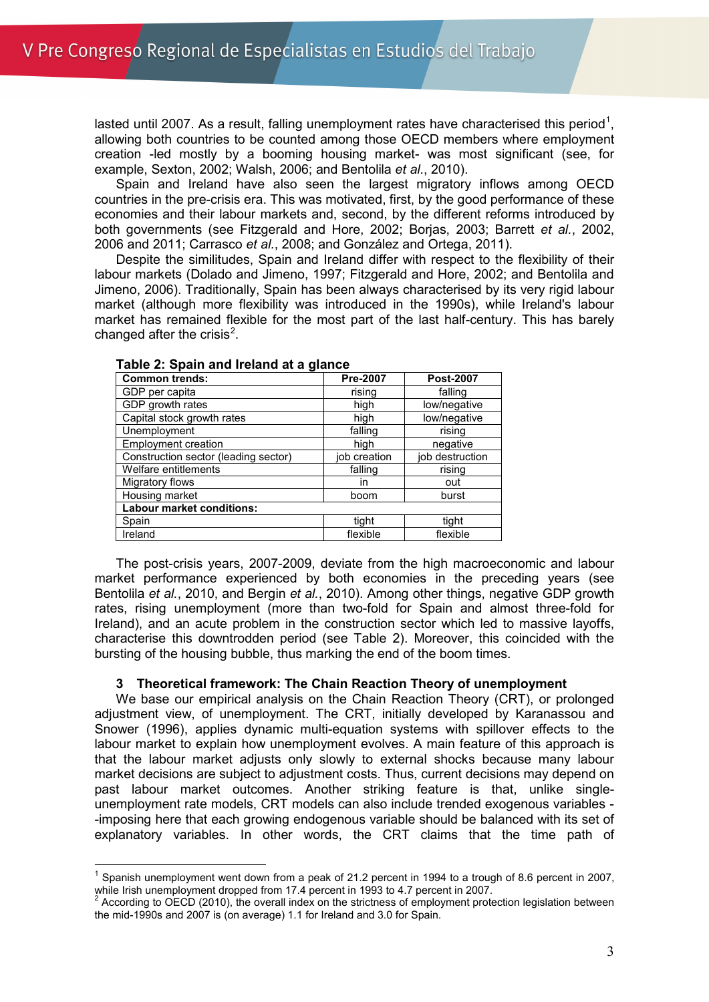lasted until 2007. As a result, falling unemployment rates have characterised this period<sup>[1](#page-2-0)</sup>, allowing both countries to be counted among those OECD members where employment creation -led mostly by a booming housing market- was most significant (see, for example, Sexton, 2002; Walsh, 2006; and Bentolila *et al.*, 2010).

Spain and Ireland have also seen the largest migratory inflows among OECD countries in the pre-crisis era. This was motivated, first, by the good performance of these economies and their labour markets and, second, by the different reforms introduced by both governments (see Fitzgerald and Hore, 2002; Borjas, 2003; Barrett *et al.*, 2002, 2006 and 2011; Carrasco *et al.*, 2008; and González and Ortega, 2011).

Despite the similitudes, Spain and Ireland differ with respect to the flexibility of their labour markets (Dolado and Jimeno, 1997; Fitzgerald and Hore, 2002; and Bentolila and Jimeno, 2006). Traditionally, Spain has been always characterised by its very rigid labour market (although more flexibility was introduced in the 1990s), while Ireland's labour market has remained flexible for the most part of the last half-century. This has barely changed after the crisis $^2$  $^2$ .

| <b>Common trends:</b>                | Pre-2007     | <b>Post-2007</b> |
|--------------------------------------|--------------|------------------|
| GDP per capita                       | rising       | falling          |
| GDP growth rates                     | high         | low/negative     |
| Capital stock growth rates           | high         | low/negative     |
| Unemployment                         | falling      | rising           |
| <b>Employment creation</b>           | high         | negative         |
| Construction sector (leading sector) | job creation | job destruction  |
| Welfare entitlements                 | falling      | rising           |
| Migratory flows                      | in           | out              |
| Housing market                       | boom         | burst            |
| Labour market conditions:            |              |                  |
| Spain                                | tight        | tight            |
| Ireland                              | flexible     | flexible         |

#### **Table 2: Spain and Ireland at a glance**

The post-crisis years, 2007-2009, deviate from the high macroeconomic and labour market performance experienced by both economies in the preceding years (see Bentolila *et al.*, 2010, and Bergin *et al.*, 2010). Among other things, negative GDP growth rates, rising unemployment (more than two-fold for Spain and almost three-fold for Ireland), and an acute problem in the construction sector which led to massive layoffs, characterise this downtrodden period (see Table 2). Moreover, this coincided with the bursting of the housing bubble, thus marking the end of the boom times.

## **3 Theoretical framework: The Chain Reaction Theory of unemployment**

We base our empirical analysis on the Chain Reaction Theory (CRT), or prolonged adjustment view, of unemployment. The CRT, initially developed by Karanassou and Snower (1996), applies dynamic multi-equation systems with spillover effects to the labour market to explain how unemployment evolves. A main feature of this approach is that the labour market adjusts only slowly to external shocks because many labour market decisions are subject to adjustment costs. Thus, current decisions may depend on past labour market outcomes. Another striking feature is that, unlike singleunemployment rate models, CRT models can also include trended exogenous variables - -imposing here that each growing endogenous variable should be balanced with its set of explanatory variables. In other words, the CRT claims that the time path of

<span id="page-2-0"></span>Spanish unemployment went down from a peak of 21.2 percent in 1994 to a trough of 8.6 percent in 2007, while Irish unemployment dropped from 17.4 percent in 1993 to 4.7 percent in 2007.

<sup>&</sup>lt;sup>2</sup> According to OECD (2010), the overall index on the strictness of employment protection legislation between the mid-1990s and 2007 is (on average) 1.1 for Ireland and 3.0 for Spain.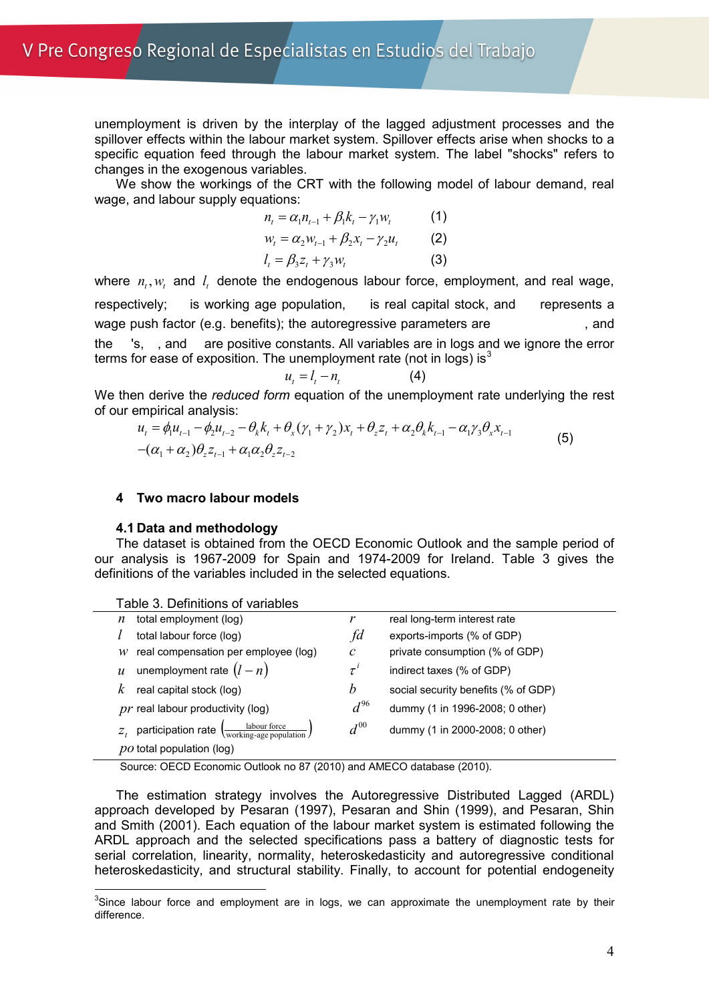unemployment is driven by the interplay of the lagged adjustment processes and the spillover effects within the labour market system. Spillover effects arise when shocks to a specific equation feed through the labour market system. The label "shocks" refers to changes in the exogenous variables.

We show the workings of the CRT with the following model of labour demand, real wage, and labour supply equations:

$$
n_{t} = \alpha_{1} n_{t-1} + \beta_{1} k_{t} - \gamma_{1} w_{t}
$$
 (1)  

$$
w_{t} = \alpha_{2} w_{t-1} + \beta_{2} x_{t} - \gamma_{2} u_{t}
$$
 (2)  

$$
l_{t} = \beta_{3} z_{t} + \gamma_{3} w_{t}
$$
 (3)

where  $n_t$ ,  $w_t$  and  $l_t$  denote the endogenous labour force, employment, and real wage, respectively; is working age population, is real capital stock, and represents a wage push factor (e.g. benefits); the autoregressive parameters are , and 's, , and are positive constants. All variables are in logs and we ignore the error terms for ease of exposition. The unemployment rate (not in logs) is  $3<sup>3</sup>$  $3<sup>3</sup>$ 

$$
u_t = l_t - n_t \tag{4}
$$

We then derive the *reduced form* equation of the unemployment rate underlying the rest of our empirical analysis:

$$
u_{t} = \phi_{1} u_{t-1} - \phi_{2} u_{t-2} - \theta_{k} k_{t} + \theta_{x} (\gamma_{1} + \gamma_{2}) x_{t} + \theta_{z} z_{t} + \alpha_{2} \theta_{k} k_{t-1} - \alpha_{1} \gamma_{3} \theta_{x} x_{t-1}
$$
  
-(\alpha\_{1} + \alpha\_{2}) \theta\_{z} z\_{t-1} + \alpha\_{1} \alpha\_{2} \theta\_{z} z\_{t-2} (5)

#### **4 Two macro labour models**

#### **4.1 Data and methodology**

The dataset is obtained from the OECD Economic Outlook and the sample period of our analysis is 1967-2009 for Spain and 1974-2009 for Ireland. Table 3 gives the definitions of the variables included in the selected equations.

| Table 3. Definitions of variables                                                                 |              |                                     |
|---------------------------------------------------------------------------------------------------|--------------|-------------------------------------|
| total employment (log)<br>n                                                                       |              | real long-term interest rate        |
| total labour force (log)                                                                          | fd           | exports-imports (% of GDP)          |
| real compensation per employee (log)<br>w                                                         | $\mathcal C$ | private consumption (% of GDP)      |
| unemployment rate $(l - n)$<br>$\mathcal{U}$                                                      | $\tau^i$     | indirect taxes (% of GDP)           |
| real capital stock (log)<br>k                                                                     | b            | social security benefits (% of GDP) |
| $pr$ real labour productivity (log)                                                               | $d^{96}$     | dummy (1 in 1996-2008; 0 other)     |
| $Z_t$ participation rate $\left(\frac{\text{labour force}}{\text{working-age population}}\right)$ | $d^{00}$     | dummy (1 in 2000-2008; 0 other)     |
| $po$ total population (log)                                                                       |              |                                     |

Source: OECD Economic Outlook no 87 (2010) and AMECO database (2010).

The estimation strategy involves the Autoregressive Distributed Lagged (ARDL) approach developed by Pesaran (1997), Pesaran and Shin (1999), and Pesaran, Shin and Smith (2001). Each equation of the labour market system is estimated following the ARDL approach and the selected specifications pass a battery of diagnostic tests for serial correlation, linearity, normality, heteroskedasticity and autoregressive conditional heteroskedasticity, and structural stability. Finally, to account for potential endogeneity

<span id="page-3-0"></span><sup>-&</sup>lt;br>3  $3$ Since labour force and employment are in logs, we can approximate the unemployment rate by their difference.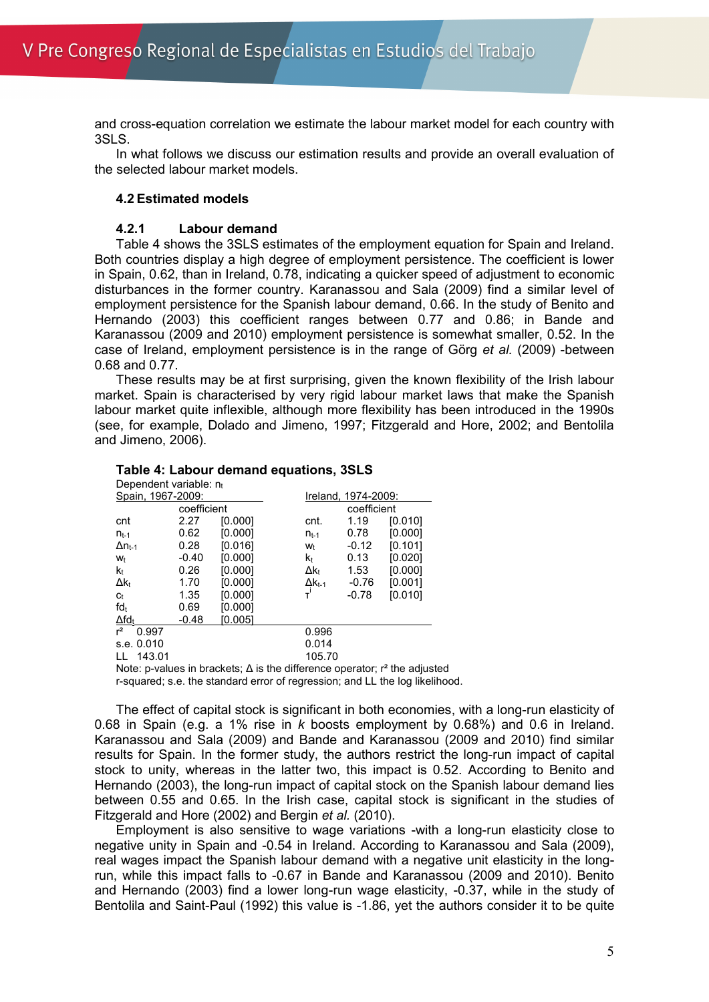and cross-equation correlation we estimate the labour market model for each country with 3SLS.

In what follows we discuss our estimation results and provide an overall evaluation of the selected labour market models.

#### **4.2 Estimated models**

#### **4.2.1 Labour demand**

Table 4 shows the 3SLS estimates of the employment equation for Spain and Ireland. Both countries display a high degree of employment persistence. The coefficient is lower in Spain, 0.62, than in Ireland, 0.78, indicating a quicker speed of adjustment to economic disturbances in the former country. Karanassou and Sala (2009) find a similar level of employment persistence for the Spanish labour demand, 0.66. In the study of Benito and Hernando (2003) this coefficient ranges between 0.77 and 0.86; in Bande and Karanassou (2009 and 2010) employment persistence is somewhat smaller, 0.52. In the case of Ireland, employment persistence is in the range of Görg *et al.* (2009) -between 0.68 and 0.77.

These results may be at first surprising, given the known flexibility of the Irish labour market. Spain is characterised by very rigid labour market laws that make the Spanish labour market quite inflexible, although more flexibility has been introduced in the 1990s (see, for example, Dolado and Jimeno, 1997; Fitzgerald and Hore, 2002; and Bentolila and Jimeno, 2006).

| Dependent variable: $n_t$                                              |             |         |                  |                     |         |  |  |  |  |
|------------------------------------------------------------------------|-------------|---------|------------------|---------------------|---------|--|--|--|--|
| Spain, 1967-2009:                                                      |             |         |                  | Ireland, 1974-2009: |         |  |  |  |  |
|                                                                        | coefficient |         |                  | coefficient         |         |  |  |  |  |
| cnt                                                                    | 2.27        | [0.000] | cnt.             | 1.19                | [0.010] |  |  |  |  |
| $n_{t-1}$                                                              | 0.62        | [0.000] | $n_{t-1}$        | 0.78                | [0.000] |  |  |  |  |
| $\Delta n_{t-1}$                                                       | 0.28        | [0.016] | W <sub>t</sub>   | $-0.12$             | [0.101] |  |  |  |  |
| W <sub>t</sub>                                                         | $-0.40$     | [0.000] | k,               | 0.13                | [0.020] |  |  |  |  |
| $k_{t}$                                                                | 0.26        | [0.000] | Δk+              | 1.53                | [0.000] |  |  |  |  |
| $\Delta k_t$                                                           | 1.70        | [0.000] | $\Delta k_{t-1}$ | $-0.76$             | [0.001] |  |  |  |  |
| Ct                                                                     | 1.35        | [0.000] |                  | $-0.78$             | [0.010] |  |  |  |  |
| $fd_t$                                                                 | 0.69        | [0.000] |                  |                     |         |  |  |  |  |
| $\Delta f d_t$                                                         | $-0.48$     | [0.005] |                  |                     |         |  |  |  |  |
| $r^2$<br>0.997                                                         |             |         | 0.996            |                     |         |  |  |  |  |
| s.e. 0.010                                                             |             |         | 0.014            |                     |         |  |  |  |  |
| 143.01                                                                 |             |         | 105.70           |                     |         |  |  |  |  |
| Nato a values in breaketer. A is the difference encreter r2 the salive |             |         |                  |                     |         |  |  |  |  |

#### **Table 4: Labour demand equations, 3SLS**

Note: p-values in brackets;  $\Delta$  is the difference operator;  $r^2$  the adjusted

r-squared; s.e. the standard error of regression; and LL the log likelihood.

The effect of capital stock is significant in both economies, with a long-run elasticity of 0.68 in Spain (e.g. a 1% rise in *k* boosts employment by 0.68%) and 0.6 in Ireland. Karanassou and Sala (2009) and Bande and Karanassou (2009 and 2010) find similar results for Spain. In the former study, the authors restrict the long-run impact of capital stock to unity, whereas in the latter two, this impact is 0.52. According to Benito and Hernando (2003), the long-run impact of capital stock on the Spanish labour demand lies between 0.55 and 0.65. In the Irish case, capital stock is significant in the studies of Fitzgerald and Hore (2002) and Bergin *et al.* (2010).

Employment is also sensitive to wage variations -with a long-run elasticity close to negative unity in Spain and -0.54 in Ireland. According to Karanassou and Sala (2009), real wages impact the Spanish labour demand with a negative unit elasticity in the longrun, while this impact falls to -0.67 in Bande and Karanassou (2009 and 2010). Benito and Hernando (2003) find a lower long-run wage elasticity, -0.37, while in the study of Bentolila and Saint-Paul (1992) this value is -1.86, yet the authors consider it to be quite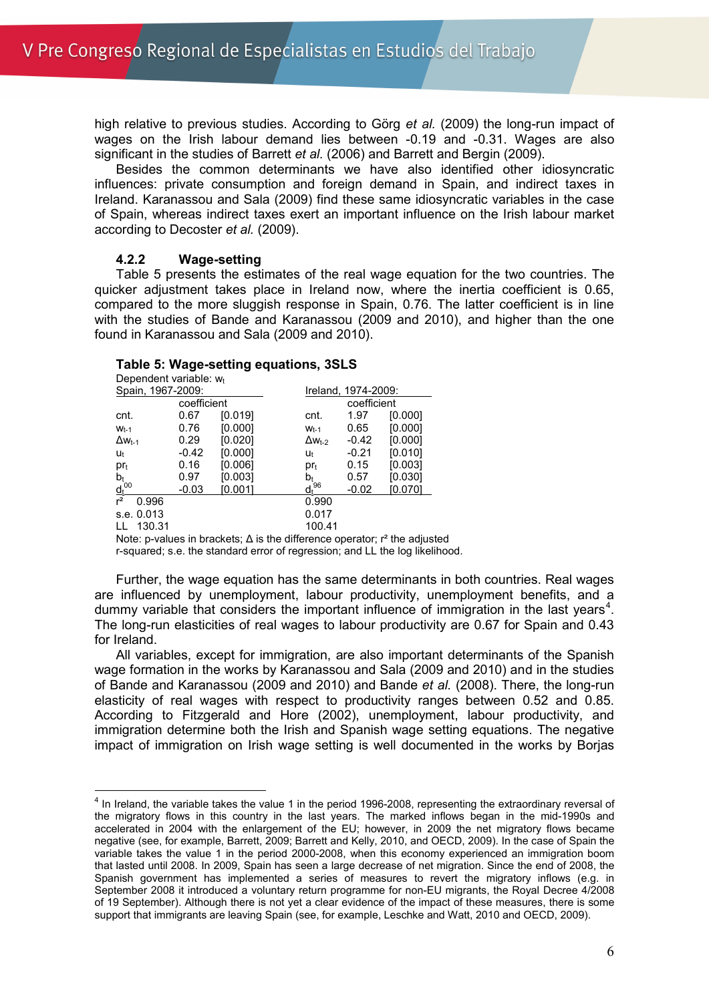high relative to previous studies. According to Görg *et al.* (2009) the long-run impact of wages on the Irish labour demand lies between -0.19 and -0.31. Wages are also significant in the studies of Barrett *et al.* (2006) and Barrett and Bergin (2009).

Besides the common determinants we have also identified other idiosyncratic influences: private consumption and foreign demand in Spain, and indirect taxes in Ireland. Karanassou and Sala (2009) find these same idiosyncratic variables in the case of Spain, whereas indirect taxes exert an important influence on the Irish labour market according to Decoster *et al.* (2009).

## **4.2.2 Wage-setting**

Table 5 presents the estimates of the real wage equation for the two countries. The quicker adjustment takes place in Ireland now, where the inertia coefficient is 0.65, compared to the more sluggish response in Spain, 0.76. The latter coefficient is in line with the studies of Bande and Karanassou (2009 and 2010), and higher than the one found in Karanassou and Sala (2009 and 2010).

# **Table 5: Wage-setting equations, 3SLS**

| Dependent variable: $w_t$ |             |         |                  |                     |         |  |  |  |
|---------------------------|-------------|---------|------------------|---------------------|---------|--|--|--|
| Spain, 1967-2009:         |             |         |                  | Ireland, 1974-2009: |         |  |  |  |
|                           | coefficient |         |                  | coefficient         |         |  |  |  |
| cnt.                      | 0.67        | [0.019] | cnt.             | 1.97                | [0.000] |  |  |  |
| $W_{t-1}$                 | 0.76        | [0.000] | $W_{t-1}$        | 0.65                | [0.000] |  |  |  |
| $\Delta W_{t-1}$          | 0.29        | [0.020] | $\Delta w_{t-2}$ | $-0.42$             | [0.000] |  |  |  |
| Ut                        | $-0.42$     | [0.000] | Ut               | $-0.21$             | [0.010] |  |  |  |
| $pr_t$                    | 0.16        | [0.006] | $pr_t$           | 0.15                | [0.003] |  |  |  |
| bŧ                        | 0.97        | [0.003] | b+               | 0.57                | [0.030] |  |  |  |
| $\frac{d_t^{100}}{r^2}$   | $-0.03$     | [0.001] | 96<br>ďł         | $-0.02$             | [0.070] |  |  |  |
| 0.996                     |             |         | 0.990            |                     |         |  |  |  |
| s.e. 0.013                |             |         | 0.017            |                     |         |  |  |  |
| 130.31                    |             |         | 100.41           |                     |         |  |  |  |

Note: p-values in brackets;  $\Delta$  is the difference operator;  $r^2$  the adjusted r-squared; s.e. the standard error of regression; and LL the log likelihood.

Further, the wage equation has the same determinants in both countries. Real wages are influenced by unemployment, labour productivity, unemployment benefits, and a dummy variable that considers the important influence of immigration in the last years<sup>[4](#page-5-0)</sup>. The long-run elasticities of real wages to labour productivity are 0.67 for Spain and 0.43 for Ireland.

All variables, except for immigration, are also important determinants of the Spanish wage formation in the works by Karanassou and Sala (2009 and 2010) and in the studies of Bande and Karanassou (2009 and 2010) and Bande *et al.* (2008). There, the long-run elasticity of real wages with respect to productivity ranges between 0.52 and 0.85. According to Fitzgerald and Hore (2002), unemployment, labour productivity, and immigration determine both the Irish and Spanish wage setting equations. The negative impact of immigration on Irish wage setting is well documented in the works by Borjas

<span id="page-5-0"></span> $<sup>4</sup>$  In Ireland, the variable takes the value 1 in the period 1996-2008, representing the extraordinary reversal of</sup> the migratory flows in this country in the last years. The marked inflows began in the mid-1990s and accelerated in 2004 with the enlargement of the EU; however, in 2009 the net migratory flows became negative (see, for example, Barrett, 2009; Barrett and Kelly, 2010, and OECD, 2009). In the case of Spain the variable takes the value 1 in the period 2000-2008, when this economy experienced an immigration boom that lasted until 2008. In 2009, Spain has seen a large decrease of net migration. Since the end of 2008, the Spanish government has implemented a series of measures to revert the migratory inflows (e.g. in September 2008 it introduced a voluntary return programme for non-EU migrants, the Royal Decree 4/2008 of 19 September). Although there is not yet a clear evidence of the impact of these measures, there is some support that immigrants are leaving Spain (see, for example, Leschke and Watt, 2010 and OECD, 2009).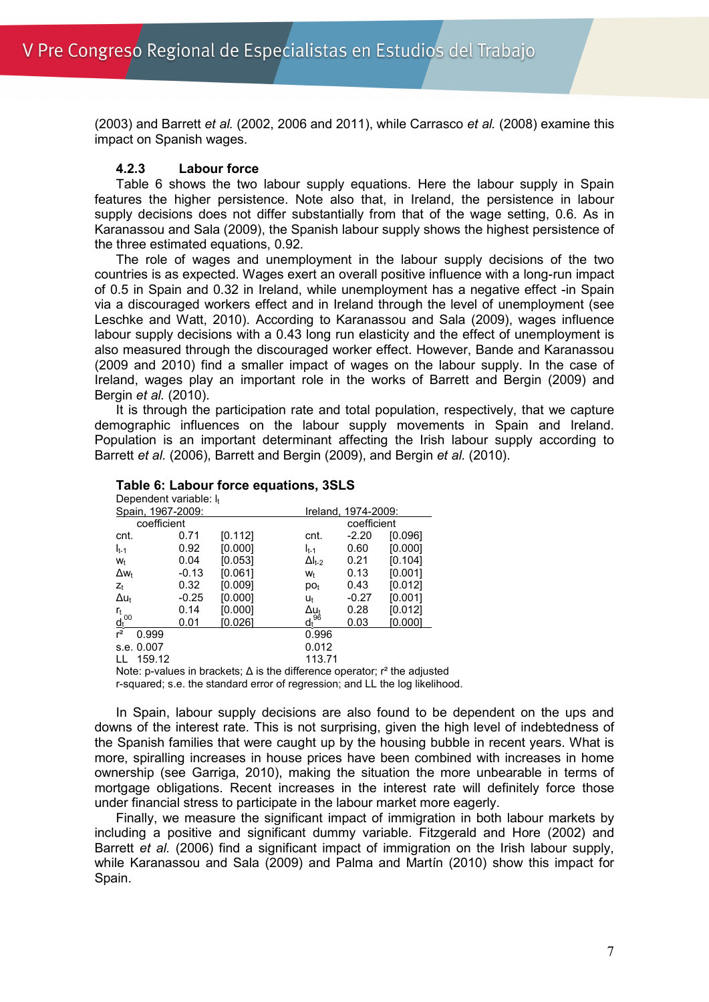(2003) and Barrett *et al.* (2002, 2006 and 2011), while Carrasco *et al.* (2008) examine this impact on Spanish wages.

# **4.2.3 Labour force**

Table 6 shows the two labour supply equations. Here the labour supply in Spain features the higher persistence. Note also that, in Ireland, the persistence in labour supply decisions does not differ substantially from that of the wage setting, 0.6. As in Karanassou and Sala (2009), the Spanish labour supply shows the highest persistence of the three estimated equations, 0.92.

The role of wages and unemployment in the labour supply decisions of the two countries is as expected. Wages exert an overall positive influence with a long-run impact of 0.5 in Spain and 0.32 in Ireland, while unemployment has a negative effect -in Spain via a discouraged workers effect and in Ireland through the level of unemployment (see Leschke and Watt, 2010). According to Karanassou and Sala (2009), wages influence labour supply decisions with a 0.43 long run elasticity and the effect of unemployment is also measured through the discouraged worker effect. However, Bande and Karanassou (2009 and 2010) find a smaller impact of wages on the labour supply. In the case of Ireland, wages play an important role in the works of Barrett and Bergin (2009) and Bergin *et al.* (2010).

It is through the participation rate and total population, respectively, that we capture demographic influences on the labour supply movements in Spain and Ireland. Population is an important determinant affecting the Irish labour supply according to Barrett *et al.* (2006), Barrett and Bergin (2009), and Bergin *et al.* (2010).

# **Table 6: Labour force equations, 3SLS**

| Dependent variable: $I_t$       |         |                 |                  |                     |         |
|---------------------------------|---------|-----------------|------------------|---------------------|---------|
| Spain, 1967-2009:               |         |                 |                  | Ireland, 1974-2009: |         |
| coefficient                     |         |                 |                  | coefficient         |         |
| cnt.                            | 0.71    | [0.112]         | cnt.             | $-2.20$             | [0.096] |
| $I_{t-1}$                       | 0.92    | [0.000]         | $I_{t-1}$        | 0.60                | [0.000] |
| W <sub>t</sub>                  | 0.04    | [0.053]         | $\Delta I_{t-2}$ | 0.21                | [0.104] |
| $\Delta w_t$                    | $-0.13$ | [0.061]         | Wt               | 0.13                | [0.001] |
| $Z_t$                           | 0.32    | [0.009]         | DO <sub>t</sub>  | 0.43                | [0.012] |
| $\Delta u_t$                    | $-0.25$ | [0.000]         | Ut               | $-0.27$             | [0.001] |
| r <sub>t</sub>                  | 0.14    | [0.000]         | Δu <sub>t</sub>  | 0.28                | [0.012] |
| $\underline{\mathsf{d}_t}^{00}$ | 0.01    | [0.026]         | $d_t^{96}$       | 0.03                | [0.000] |
| $r^2$<br>0.999                  |         |                 | 0.996            |                     |         |
| s.e. 0.007                      |         |                 | 0.012            |                     |         |
| 159.12<br>$\mathbf{L}$          |         |                 | 113.71           |                     |         |
|                                 |         | $\cdot$ $\cdot$ |                  |                     | .       |

Note: p-values in brackets;  $\Delta$  is the difference operator;  $r^2$  the adjusted

r-squared; s.e. the standard error of regression; and LL the log likelihood.

In Spain, labour supply decisions are also found to be dependent on the ups and downs of the interest rate. This is not surprising, given the high level of indebtedness of the Spanish families that were caught up by the housing bubble in recent years. What is more, spiralling increases in house prices have been combined with increases in home ownership (see Garriga, 2010), making the situation the more unbearable in terms of mortgage obligations. Recent increases in the interest rate will definitely force those under financial stress to participate in the labour market more eagerly.

Finally, we measure the significant impact of immigration in both labour markets by including a positive and significant dummy variable. Fitzgerald and Hore (2002) and Barrett *et al.* (2006) find a significant impact of immigration on the Irish labour supply, while Karanassou and Sala (2009) and Palma and Martín (2010) show this impact for Spain.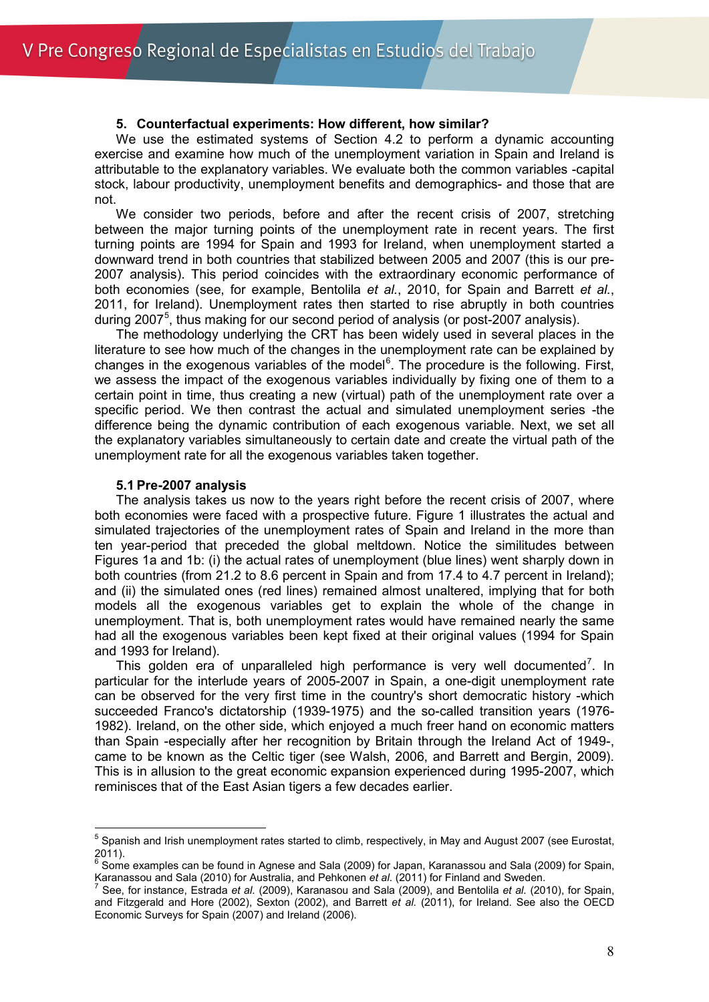#### **5. Counterfactual experiments: How different, how similar?**

We use the estimated systems of Section 4.2 to perform a dynamic accounting exercise and examine how much of the unemployment variation in Spain and Ireland is attributable to the explanatory variables. We evaluate both the common variables -capital stock, labour productivity, unemployment benefits and demographics- and those that are not.

We consider two periods, before and after the recent crisis of 2007, stretching between the major turning points of the unemployment rate in recent years. The first turning points are 1994 for Spain and 1993 for Ireland, when unemployment started a downward trend in both countries that stabilized between 2005 and 2007 (this is our pre-2007 analysis). This period coincides with the extraordinary economic performance of both economies (see, for example, Bentolila *et al.*, 2010, for Spain and Barrett *et al.*, 2011, for Ireland). Unemployment rates then started to rise abruptly in both countries during 2007<sup>[5](#page-7-0)</sup>, thus making for our second period of analysis (or post-2007 analysis).

The methodology underlying the CRT has been widely used in several places in the literature to see how much of the changes in the unemployment rate can be explained by changes in the exogenous variables of the model [6](#page-7-1) . The procedure is the following. First, we assess the impact of the exogenous variables individually by fixing one of them to a certain point in time, thus creating a new (virtual) path of the unemployment rate over a specific period. We then contrast the actual and simulated unemployment series -the difference being the dynamic contribution of each exogenous variable. Next, we set all the explanatory variables simultaneously to certain date and create the virtual path of the unemployment rate for all the exogenous variables taken together.

#### **5.1 Pre-2007 analysis**

The analysis takes us now to the years right before the recent crisis of 2007, where both economies were faced with a prospective future. Figure 1 illustrates the actual and simulated trajectories of the unemployment rates of Spain and Ireland in the more than ten year-period that preceded the global meltdown. Notice the similitudes between Figures 1a and 1b: (i) the actual rates of unemployment (blue lines) went sharply down in both countries (from 21.2 to 8.6 percent in Spain and from 17.4 to 4.7 percent in Ireland); and (ii) the simulated ones (red lines) remained almost unaltered, implying that for both models all the exogenous variables get to explain the whole of the change in unemployment. That is, both unemployment rates would have remained nearly the same had all the exogenous variables been kept fixed at their original values (1994 for Spain and 1993 for Ireland).

This golden era of unparalleled high performance is very well documented<sup>[7](#page-7-2)</sup>. In particular for the interlude years of 2005-2007 in Spain, a one-digit unemployment rate can be observed for the very first time in the country's short democratic history -which succeeded Franco's dictatorship (1939-1975) and the so-called transition years (1976- 1982). Ireland, on the other side, which enjoyed a much freer hand on economic matters than Spain -especially after her recognition by Britain through the Ireland Act of 1949-, came to be known as the Celtic tiger (see Walsh, 2006, and Barrett and Bergin, 2009). This is in allusion to the great economic expansion experienced during 1995-2007, which reminisces that of the East Asian tigers a few decades earlier.

<span id="page-7-0"></span> $<sup>5</sup>$  Spanish and Irish unemployment rates started to climb, respectively, in May and August 2007 (see Eurostat,</sup>  $^{2011}_{6.211}$ .

<span id="page-7-1"></span><sup>6</sup> Some examples can be found in Agnese and Sala (2009) for Japan, Karanassou and Sala (2009) for Spain, Karanassou and Sala (2010) for Australia, and Pehkonen *et al.* (2011) for Finland and Sweden. <sup>7</sup> See, for instance, Estrada *et al.* (2009), Karanasou and Sala (2009), and Bentolila *et al.* (2010), for Spain,

<span id="page-7-2"></span>and Fitzgerald and Hore (2002), Sexton (2002), and Barrett *et al.* (2011), for Ireland. See also the OECD Economic Surveys for Spain (2007) and Ireland (2006).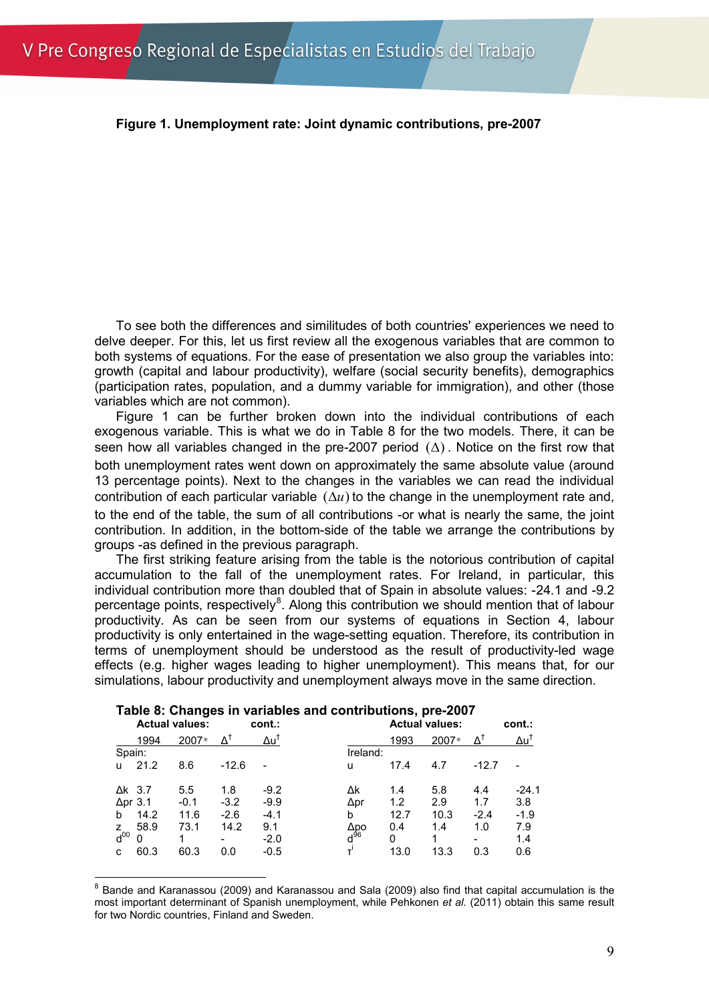**Figure 1. Unemployment rate: Joint dynamic contributions, pre-2007**

To see both the differences and similitudes of both countries' experiences we need to delve deeper. For this, let us first review all the exogenous variables that are common to both systems of equations. For the ease of presentation we also group the variables into: growth (capital and labour productivity), welfare (social security benefits), demographics (participation rates, population, and a dummy variable for immigration), and other (those variables which are not common).

Figure 1 can be further broken down into the individual contributions of each exogenous variable. This is what we do in Table 8 for the two models. There, it can be seen how all variables changed in the pre-2007 period  $( \Delta )$ . Notice on the first row that both unemployment rates went down on approximately the same absolute value (around 13 percentage points). Next to the changes in the variables we can read the individual contribution of each particular variable  $(\Delta u)$  to the change in the unemployment rate and, to the end of the table, the sum of all contributions -or what is nearly the same, the joint contribution. In addition, in the bottom-side of the table we arrange the contributions by groups -as defined in the previous paragraph.

The first striking feature arising from the table is the notorious contribution of capital accumulation to the fall of the unemployment rates. For Ireland, in particular, this individual contribution more than doubled that of Spain in absolute values: -24.1 and -9.2 percentage points, respectively<sup>[8](#page-8-0)</sup>. Along this contribution we should mention that of labour productivity. As can be seen from our systems of equations in Section 4, labour productivity is only entertained in the wage-setting equation. Therefore, its contribution in terms of unemployment should be understood as the result of productivity-led wage effects (e.g. higher wages leading to higher unemployment). This means that, for our simulations, labour productivity and unemployment always move in the same direction.

|                 | <b>Actual values:</b> |             | cont.:          |                        |      | <b>Actual values:</b> |                     | cont.:          |
|-----------------|-----------------------|-------------|-----------------|------------------------|------|-----------------------|---------------------|-----------------|
| 1994            | 2007*                 | $\Lambda^1$ | Δu <sup>†</sup> |                        | 1993 | 2007*                 | $\Lambda^\intercal$ | Δu <sup>1</sup> |
| Spain:          |                       |             |                 | Ireland:               |      |                       |                     |                 |
| 21.2<br>u       | 8.6                   | $-12.6$     | -               | u                      | 17.4 | 4.7                   | $-12.7$             |                 |
| $\Delta$ k 3.7  | 5.5                   | 1.8         | $-9.2$          | Δk                     | 1.4  | 5.8                   | 4.4                 | $-24.1$         |
| $\Delta$ pr 3.1 | $-0.1$                | $-3.2$      | $-9.9$          | ∆pr                    | 1.2  | 2.9                   | 1.7                 | 3.8             |
| 14.2<br>b       | 11.6                  | $-2.6$      | $-4.1$          | b                      | 12.7 | 10.3                  | $-2.4$              | $-1.9$          |
| 58.9<br>z       | 73.1                  | 14.2        | 9.1             |                        | 0.4  | 1.4                   | 1.0                 | 7.9             |
| $d^{00}$<br>0   | 1                     | -           | $-2.0$          | ∆po<br>d <sup>96</sup> | 0    | 1                     | ۰                   | 1.4             |
| 60.3<br>C       | 60.3                  | 0.0         | $-0.5$          |                        | 13.0 | 13.3                  | 0.3                 | 0.6             |

## **Table 8: Changes in variables and contributions, pre-2007**

<span id="page-8-0"></span><sup>&</sup>lt;sup>8</sup> Bande and Karanassou (2009) and Karanassou and Sala (2009) also find that capital accumulation is the most important determinant of Spanish unemployment, while Pehkonen *et al.* (2011) obtain this same result for two Nordic countries, Finland and Sweden.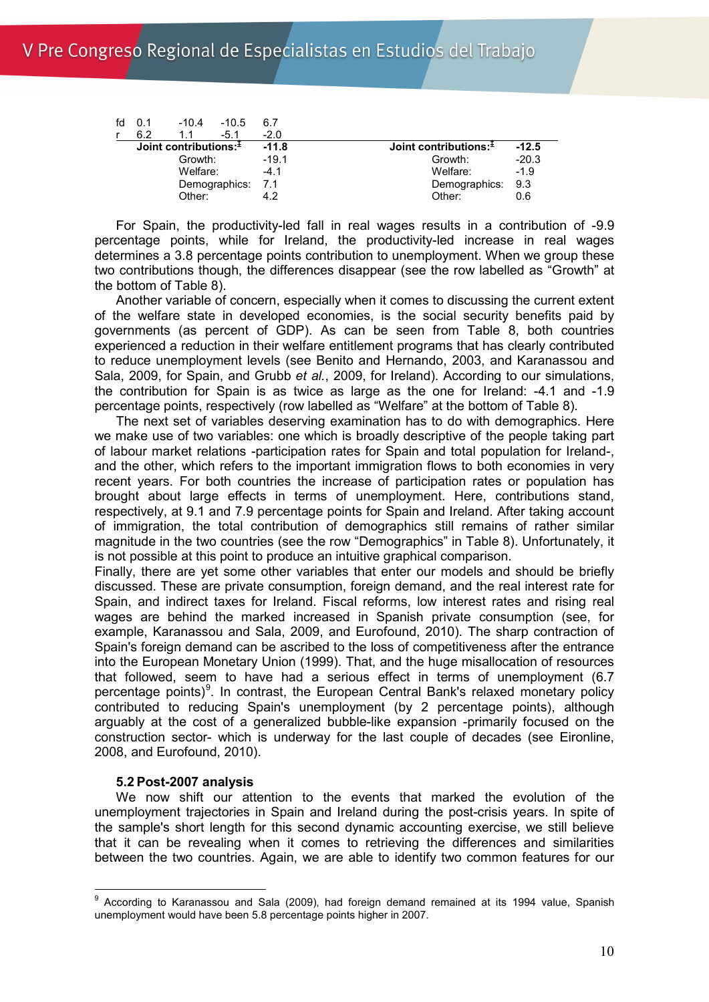| fd | 0.1     | $-10.4$                    | $-10.5$           | 6.7     |                            |         |
|----|---------|----------------------------|-------------------|---------|----------------------------|---------|
|    | 6.2     | 11                         | $-5.1$            | $-2.0$  |                            |         |
|    |         | Joint contributions: $\pm$ |                   | $-11.8$ | Joint contributions: $\pm$ | $-12.5$ |
|    | Growth: |                            | $-19.1$           | Growth: | $-20.3$                    |         |
|    |         | Welfare:                   |                   | $-4.1$  | Welfare:                   | $-1.9$  |
|    |         |                            | Demographics: 7.1 |         | Demographics: 9.3          |         |
|    | Other:  |                            |                   |         | Other:                     | 0.6     |

For Spain, the productivity-led fall in real wages results in a contribution of -9.9 percentage points, while for Ireland, the productivity-led increase in real wages determines a 3.8 percentage points contribution to unemployment. When we group these two contributions though, the differences disappear (see the row labelled as "Growth" at the bottom of Table 8).

Another variable of concern, especially when it comes to discussing the current extent of the welfare state in developed economies, is the social security benefits paid by governments (as percent of GDP). As can be seen from Table 8, both countries experienced a reduction in their welfare entitlement programs that has clearly contributed to reduce unemployment levels (see Benito and Hernando, 2003, and Karanassou and Sala, 2009, for Spain, and Grubb *et al.*, 2009, for Ireland). According to our simulations, the contribution for Spain is as twice as large as the one for Ireland: -4.1 and -1.9 percentage points, respectively (row labelled as "Welfare" at the bottom of Table 8).

The next set of variables deserving examination has to do with demographics. Here we make use of two variables: one which is broadly descriptive of the people taking part of labour market relations -participation rates for Spain and total population for Ireland-, and the other, which refers to the important immigration flows to both economies in very recent years. For both countries the increase of participation rates or population has brought about large effects in terms of unemployment. Here, contributions stand, respectively, at 9.1 and 7.9 percentage points for Spain and Ireland. After taking account of immigration, the total contribution of demographics still remains of rather similar magnitude in the two countries (see the row "Demographics" in Table 8). Unfortunately, it is not possible at this point to produce an intuitive graphical comparison.

Finally, there are yet some other variables that enter our models and should be briefly discussed. These are private consumption, foreign demand, and the real interest rate for Spain, and indirect taxes for Ireland. Fiscal reforms, low interest rates and rising real wages are behind the marked increased in Spanish private consumption (see, for example, Karanassou and Sala, 2009, and Eurofound, 2010). The sharp contraction of Spain's foreign demand can be ascribed to the loss of competitiveness after the entrance into the European Monetary Union (1999). That, and the huge misallocation of resources that followed, seem to have had a serious effect in terms of unemployment (6.7 percentage points)<sup>[9](#page-9-0)</sup>. In contrast, the European Central Bank's relaxed monetary policy contributed to reducing Spain's unemployment (by 2 percentage points), although arguably at the cost of a generalized bubble-like expansion -primarily focused on the construction sector- which is underway for the last couple of decades (see Eironline, 2008, and Eurofound, 2010).

## **5.2 Post-2007 analysis**

We now shift our attention to the events that marked the evolution of the unemployment trajectories in Spain and Ireland during the post-crisis years. In spite of the sample's short length for this second dynamic accounting exercise, we still believe that it can be revealing when it comes to retrieving the differences and similarities between the two countries. Again, we are able to identify two common features for our

<span id="page-9-0"></span><sup>&</sup>lt;sup>9</sup> According to Karanassou and Sala (2009), had foreign demand remained at its 1994 value, Spanish unemployment would have been 5.8 percentage points higher in 2007.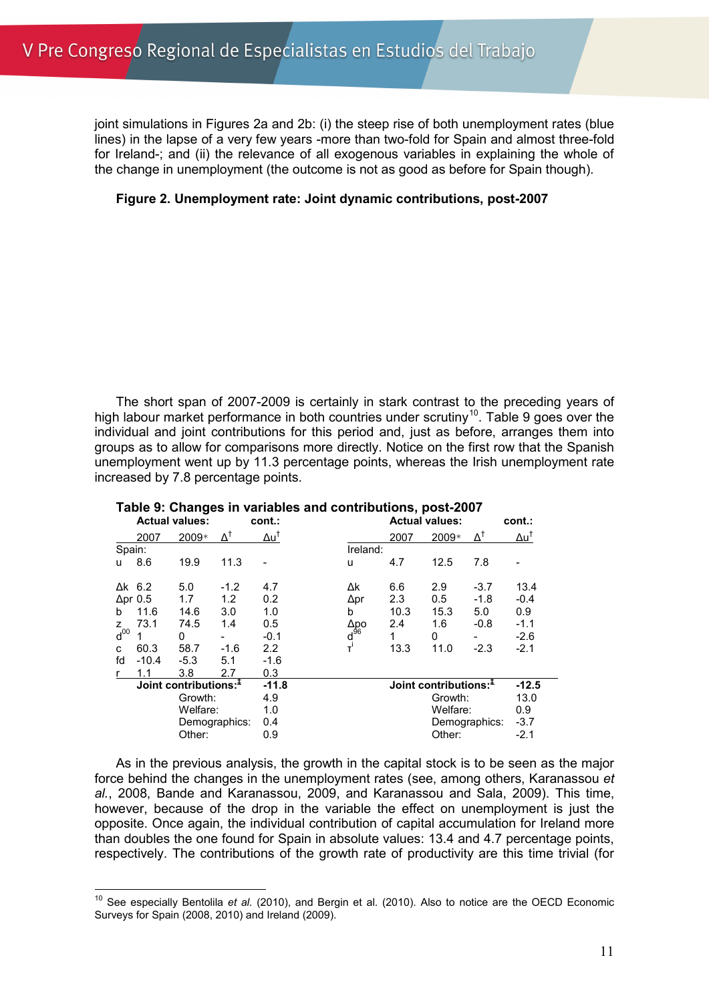joint simulations in Figures 2a and 2b: (i) the steep rise of both unemployment rates (blue lines) in the lapse of a very few years -more than two-fold for Spain and almost three-fold for Ireland-; and (ii) the relevance of all exogenous variables in explaining the whole of the change in unemployment (the outcome is not as good as before for Spain though).

# **Figure 2. Unemployment rate: Joint dynamic contributions, post-2007**

The short span of 2007-2009 is certainly in stark contrast to the preceding years of high labour market performance in both countries under scrutiny<sup>10</sup>. Table 9 goes over the individual and joint contributions for this period and, just as before, arranges them into groups as to allow for comparisons more directly. Notice on the first row that the Spanish unemployment went up by 11.3 percentage points, whereas the Irish unemployment rate increased by 7.8 percentage points.

|                     | <b>Actual values:</b> |                                    | cont.: | <b>Actual values:</b> | cont.:                                   |                                    |          |                  |                 |  |  |
|---------------------|-----------------------|------------------------------------|--------|-----------------------|------------------------------------------|------------------------------------|----------|------------------|-----------------|--|--|
|                     | 2007                  | 2009*                              |        | Δu <sup>†</sup>       |                                          | 2007                               | 2009*    | $\Delta^\dagger$ | Δu <sup>†</sup> |  |  |
| Spain:              |                       |                                    |        |                       | Ireland:                                 |                                    |          |                  |                 |  |  |
| u                   | 8.6                   | 19.9                               | 11.3   |                       | u                                        | 4.7                                | 12.5     | 7.8              |                 |  |  |
| $\Delta$ k 6.2      |                       | 5.0                                | $-1.2$ | 4.7                   | Δk                                       | 6.6                                | 2.9      | $-3.7$           | 13.4            |  |  |
| $\Delta$ pr 0.5     |                       | 1.7                                | 1.2    | 0.2                   | Δpr                                      | 2.3                                | 0.5      | $-1.8$           | $-0.4$          |  |  |
| b                   | 11.6                  | 14.6                               | 3.0    | 1.0                   | b                                        | 10.3                               | 15.3     | 5.0              | 0.9             |  |  |
| z                   | 73.1                  | 74.5                               | 1.4    | 0.5                   |                                          | 2.4                                | 1.6      | $-0.8$           | $-1.1$          |  |  |
| $\overline{d}^{00}$ |                       | 0                                  |        | $-0.1$                | Δpo<br>d <sup>96</sup><br>τ <sup>i</sup> | 1                                  | 0        |                  | $-2.6$          |  |  |
| C                   | 60.3                  | 58.7                               | $-1.6$ | 2.2                   |                                          | 13.3                               | 11.0     | $-2.3$           | $-2.1$          |  |  |
| fd                  | $-10.4$               | $-5.3$                             | 5.1    | $-1.6$                |                                          |                                    |          |                  |                 |  |  |
|                     | 1.1                   | 3.8                                | 2.7    | 0.3                   |                                          |                                    |          |                  |                 |  |  |
|                     |                       | Joint contributions: $\frac{1}{2}$ |        | $-11.8$               |                                          | Joint contributions: $\frac{1}{2}$ |          |                  |                 |  |  |
|                     | Growth:               |                                    | 4.9    |                       |                                          |                                    | Growth:  |                  |                 |  |  |
|                     | Welfare:              |                                    | 1.0    |                       |                                          |                                    | Welfare: |                  |                 |  |  |
|                     |                       | Demographics:                      |        | 0.4                   |                                          |                                    |          | Demographics:    |                 |  |  |
| Other:<br>0.9       |                       |                                    |        |                       |                                          | Other:                             |          | $-2.1$           |                 |  |  |

#### **Table 9: Changes in variables and contributions, post-2007**

As in the previous analysis, the growth in the capital stock is to be seen as the major force behind the changes in the unemployment rates (see, among others, Karanassou *et al.*, 2008, Bande and Karanassou, 2009, and Karanassou and Sala, 2009). This time, however, because of the drop in the variable the effect on unemployment is just the opposite. Once again, the individual contribution of capital accumulation for Ireland more than doubles the one found for Spain in absolute values: 13.4 and 4.7 percentage points, respectively. The contributions of the growth rate of productivity are this time trivial (for

<span id="page-10-0"></span><sup>&</sup>lt;sup>10</sup> See especially Bentolila et al. (2010), and Bergin et al. (2010). Also to notice are the OECD Economic Surveys for Spain (2008, 2010) and Ireland (2009).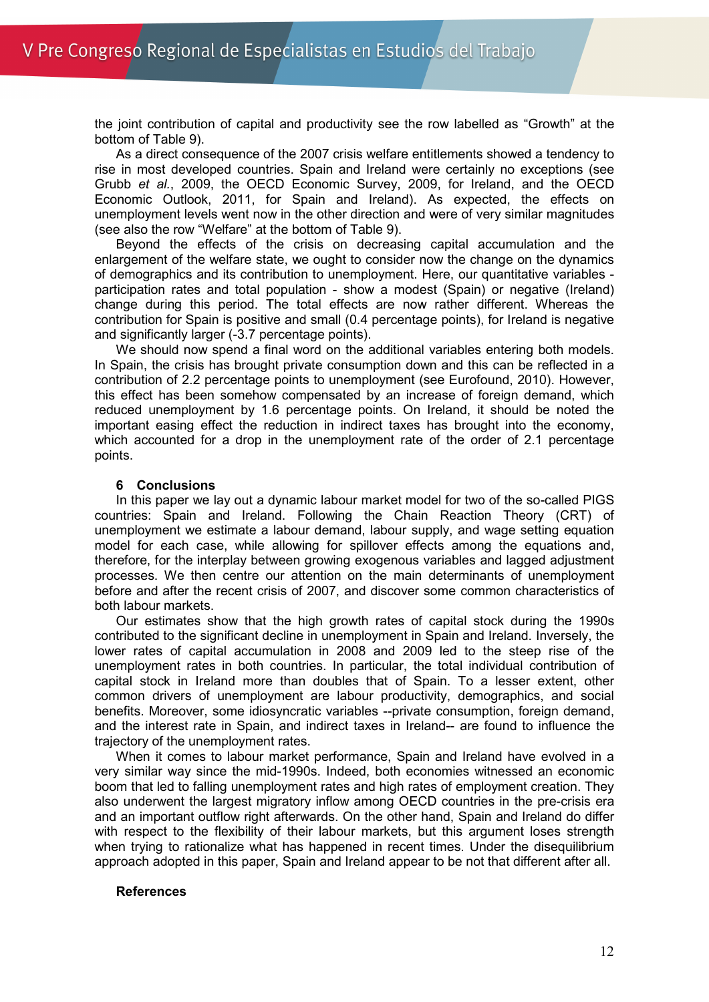the joint contribution of capital and productivity see the row labelled as "Growth" at the bottom of Table 9).

As a direct consequence of the 2007 crisis welfare entitlements showed a tendency to rise in most developed countries. Spain and Ireland were certainly no exceptions (see Grubb *et al.*, 2009, the OECD Economic Survey, 2009, for Ireland, and the OECD Economic Outlook, 2011, for Spain and Ireland). As expected, the effects on unemployment levels went now in the other direction and were of very similar magnitudes (see also the row "Welfare" at the bottom of Table 9).

Beyond the effects of the crisis on decreasing capital accumulation and the enlargement of the welfare state, we ought to consider now the change on the dynamics of demographics and its contribution to unemployment. Here, our quantitative variables participation rates and total population - show a modest (Spain) or negative (Ireland) change during this period. The total effects are now rather different. Whereas the contribution for Spain is positive and small (0.4 percentage points), for Ireland is negative and significantly larger (-3.7 percentage points).

We should now spend a final word on the additional variables entering both models. In Spain, the crisis has brought private consumption down and this can be reflected in a contribution of 2.2 percentage points to unemployment (see Eurofound, 2010). However, this effect has been somehow compensated by an increase of foreign demand, which reduced unemployment by 1.6 percentage points. On Ireland, it should be noted the important easing effect the reduction in indirect taxes has brought into the economy, which accounted for a drop in the unemployment rate of the order of 2.1 percentage points.

#### **6 Conclusions**

In this paper we lay out a dynamic labour market model for two of the so-called PIGS countries: Spain and Ireland. Following the Chain Reaction Theory (CRT) of unemployment we estimate a labour demand, labour supply, and wage setting equation model for each case, while allowing for spillover effects among the equations and, therefore, for the interplay between growing exogenous variables and lagged adjustment processes. We then centre our attention on the main determinants of unemployment before and after the recent crisis of 2007, and discover some common characteristics of both labour markets.

Our estimates show that the high growth rates of capital stock during the 1990s contributed to the significant decline in unemployment in Spain and Ireland. Inversely, the lower rates of capital accumulation in 2008 and 2009 led to the steep rise of the unemployment rates in both countries. In particular, the total individual contribution of capital stock in Ireland more than doubles that of Spain. To a lesser extent, other common drivers of unemployment are labour productivity, demographics, and social benefits. Moreover, some idiosyncratic variables --private consumption, foreign demand, and the interest rate in Spain, and indirect taxes in Ireland-- are found to influence the trajectory of the unemployment rates.

When it comes to labour market performance, Spain and Ireland have evolved in a very similar way since the mid-1990s. Indeed, both economies witnessed an economic boom that led to falling unemployment rates and high rates of employment creation. They also underwent the largest migratory inflow among OECD countries in the pre-crisis era and an important outflow right afterwards. On the other hand, Spain and Ireland do differ with respect to the flexibility of their labour markets, but this argument loses strength when trying to rationalize what has happened in recent times. Under the disequilibrium approach adopted in this paper, Spain and Ireland appear to be not that different after all.

## **References**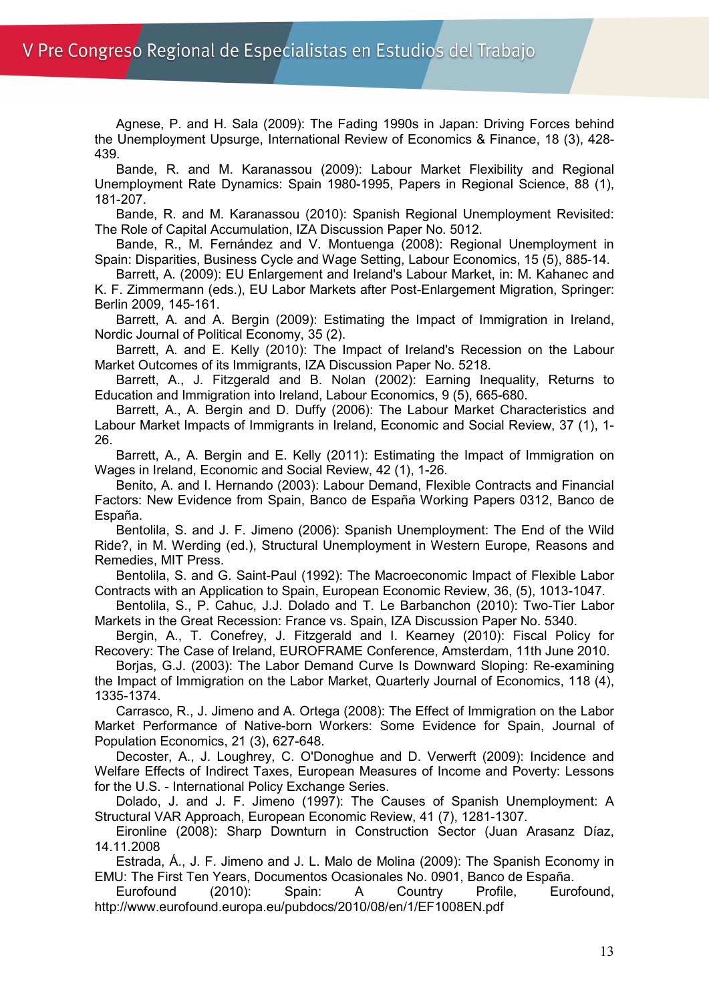Agnese, P. and H. Sala (2009): The Fading 1990s in Japan: Driving Forces behind the Unemployment Upsurge, International Review of Economics & Finance, 18 (3), 428- 439.

Bande, R. and M. Karanassou (2009): Labour Market Flexibility and Regional Unemployment Rate Dynamics: Spain 1980-1995, Papers in Regional Science, 88 (1), 181-207.

Bande, R. and M. Karanassou (2010): Spanish Regional Unemployment Revisited: The Role of Capital Accumulation, IZA Discussion Paper No. 5012.

Bande, R., M. Fernández and V. Montuenga (2008): Regional Unemployment in Spain: Disparities, Business Cycle and Wage Setting, Labour Economics, 15 (5), 885-14.

Barrett, A. (2009): EU Enlargement and Ireland's Labour Market, in: M. Kahanec and K. F. Zimmermann (eds.), EU Labor Markets after Post-Enlargement Migration, Springer: Berlin 2009, 145-161.

Barrett, A. and A. Bergin (2009): Estimating the Impact of Immigration in Ireland, Nordic Journal of Political Economy, 35 (2).

Barrett, A. and E. Kelly (2010): The Impact of Ireland's Recession on the Labour Market Outcomes of its Immigrants, IZA Discussion Paper No. 5218.

Barrett, A., J. Fitzgerald and B. Nolan (2002): Earning Inequality, Returns to Education and Immigration into Ireland, Labour Economics, 9 (5), 665-680.

Barrett, A., A. Bergin and D. Duffy (2006): The Labour Market Characteristics and Labour Market Impacts of Immigrants in Ireland, Economic and Social Review, 37 (1), 1- 26.

Barrett, A., A. Bergin and E. Kelly (2011): Estimating the Impact of Immigration on Wages in Ireland, Economic and Social Review, 42 (1), 1-26.

Benito, A. and I. Hernando (2003): Labour Demand, Flexible Contracts and Financial Factors: New Evidence from Spain, Banco de España Working Papers 0312, Banco de España.

Bentolila, S. and J. F. Jimeno (2006): Spanish Unemployment: The End of the Wild Ride?, in M. Werding (ed.), Structural Unemployment in Western Europe, Reasons and Remedies, MIT Press.

Bentolila, S. and G. Saint-Paul (1992): The Macroeconomic Impact of Flexible Labor Contracts with an Application to Spain, European Economic Review, 36, (5), 1013-1047.

Bentolila, S., P. Cahuc, J.J. Dolado and T. Le Barbanchon (2010): Two-Tier Labor Markets in the Great Recession: France vs. Spain, IZA Discussion Paper No. 5340.

Bergin, A., T. Conefrey, J. Fitzgerald and I. Kearney (2010): Fiscal Policy for Recovery: The Case of Ireland, EUROFRAME Conference, Amsterdam, 11th June 2010.

Borjas, G.J. (2003): The Labor Demand Curve Is Downward Sloping: Re-examining the Impact of Immigration on the Labor Market, Quarterly Journal of Economics, 118 (4), 1335-1374.

Carrasco, R., J. Jimeno and A. Ortega (2008): The Effect of Immigration on the Labor Market Performance of Native-born Workers: Some Evidence for Spain, Journal of Population Economics, 21 (3), 627-648.

Decoster, A., J. Loughrey, C. O'Donoghue and D. Verwerft (2009): Incidence and Welfare Effects of Indirect Taxes, European Measures of Income and Poverty: Lessons for the U.S. - International Policy Exchange Series.

Dolado, J. and J. F. Jimeno (1997): The Causes of Spanish Unemployment: A Structural VAR Approach, European Economic Review, 41 (7), 1281-1307.

Eironline (2008): Sharp Downturn in Construction Sector (Juan Arasanz Díaz, 14.11.2008

Estrada, Á., J. F. Jimeno and J. L. Malo de Molina (2009): The Spanish Economy in EMU: The First Ten Years, Documentos Ocasionales No. 0901, Banco de España.

Eurofound (2010): Spain: A Country Profile, Eurofound, http://www.eurofound.europa.eu/pubdocs/2010/08/en/1/EF1008EN.pdf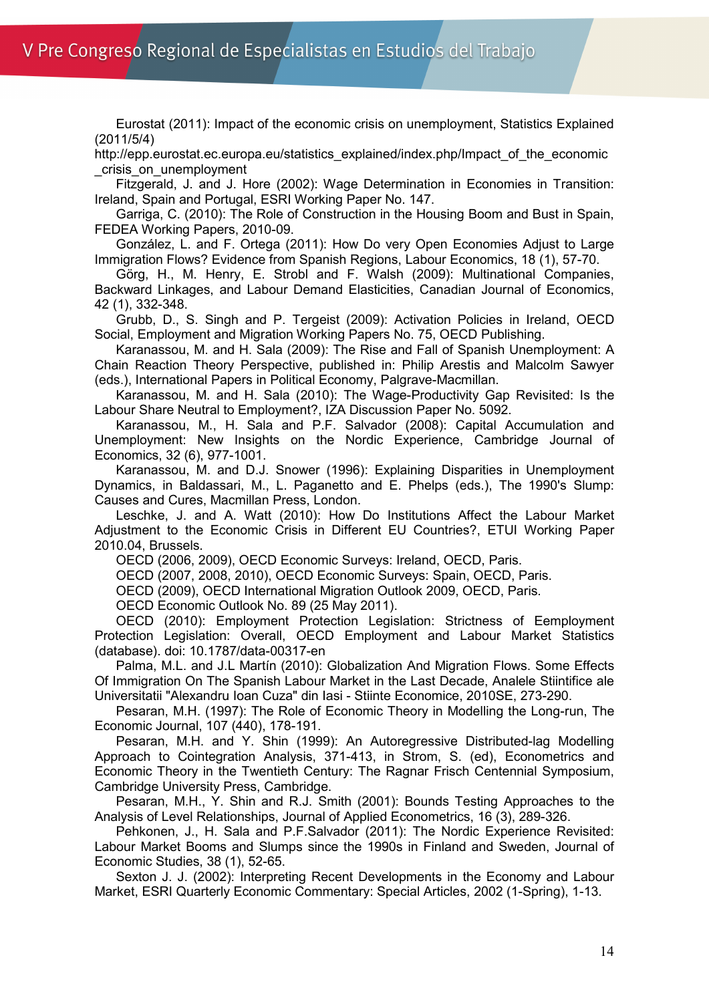Eurostat (2011): Impact of the economic crisis on unemployment, Statistics Explained (2011/5/4)

http://epp.eurostat.ec.europa.eu/statistics\_explained/index.php/Impact\_of\_the\_economic \_crisis\_on\_unemployment

Fitzgerald, J. and J. Hore (2002): Wage Determination in Economies in Transition: Ireland, Spain and Portugal, ESRI Working Paper No. 147.

Garriga, C. (2010): The Role of Construction in the Housing Boom and Bust in Spain, FEDEA Working Papers, 2010-09.

González, L. and F. Ortega (2011): How Do very Open Economies Adjust to Large Immigration Flows? Evidence from Spanish Regions, Labour Economics, 18 (1), 57-70.

Görg, H., M. Henry, E. Strobl and F. Walsh (2009): Multinational Companies, Backward Linkages, and Labour Demand Elasticities, Canadian Journal of Economics, 42 (1), 332-348.

Grubb, D., S. Singh and P. Tergeist (2009): Activation Policies in Ireland, OECD Social, Employment and Migration Working Papers No. 75, OECD Publishing.

Karanassou, M. and H. Sala (2009): The Rise and Fall of Spanish Unemployment: A Chain Reaction Theory Perspective, published in: Philip Arestis and Malcolm Sawyer (eds.), International Papers in Political Economy, Palgrave-Macmillan.

Karanassou, M. and H. Sala (2010): The Wage-Productivity Gap Revisited: Is the Labour Share Neutral to Employment?, IZA Discussion Paper No. 5092.

Karanassou, M., H. Sala and P.F. Salvador (2008): Capital Accumulation and Unemployment: New Insights on the Nordic Experience, Cambridge Journal of Economics, 32 (6), 977-1001.

Karanassou, M. and D.J. Snower (1996): Explaining Disparities in Unemployment Dynamics, in Baldassari, M., L. Paganetto and E. Phelps (eds.), The 1990's Slump: Causes and Cures, Macmillan Press, London.

Leschke, J. and A. Watt (2010): How Do Institutions Affect the Labour Market Adjustment to the Economic Crisis in Different EU Countries?, ETUI Working Paper 2010.04, Brussels.

OECD (2006, 2009), OECD Economic Surveys: Ireland, OECD, Paris.

OECD (2007, 2008, 2010), OECD Economic Surveys: Spain, OECD, Paris.

OECD (2009), OECD International Migration Outlook 2009, OECD, Paris.

OECD Economic Outlook No. 89 (25 May 2011).

OECD (2010): Employment Protection Legislation: Strictness of Eemployment Protection Legislation: Overall, OECD Employment and Labour Market Statistics (database). doi: 10.1787/data-00317-en

Palma, M.L. and J.L Martín (2010): Globalization And Migration Flows. Some Effects Of Immigration On The Spanish Labour Market in the Last Decade, Analele Stiintifice ale Universitatii "Alexandru Ioan Cuza" din Iasi - Stiinte Economice, 2010SE, 273-290.

Pesaran, M.H. (1997): The Role of Economic Theory in Modelling the Long-run, The Economic Journal, 107 (440), 178-191.

Pesaran, M.H. and Y. Shin (1999): An Autoregressive Distributed-lag Modelling Approach to Cointegration Analysis, 371-413, in Strom, S. (ed), Econometrics and Economic Theory in the Twentieth Century: The Ragnar Frisch Centennial Symposium, Cambridge University Press, Cambridge.

Pesaran, M.H., Y. Shin and R.J. Smith (2001): Bounds Testing Approaches to the Analysis of Level Relationships, Journal of Applied Econometrics, 16 (3), 289-326.

Pehkonen, J., H. Sala and P.F.Salvador (2011): The Nordic Experience Revisited: Labour Market Booms and Slumps since the 1990s in Finland and Sweden, Journal of Economic Studies, 38 (1), 52-65.

Sexton J. J. (2002): Interpreting Recent Developments in the Economy and Labour Market, ESRI Quarterly Economic Commentary: Special Articles, 2002 (1-Spring), 1-13.